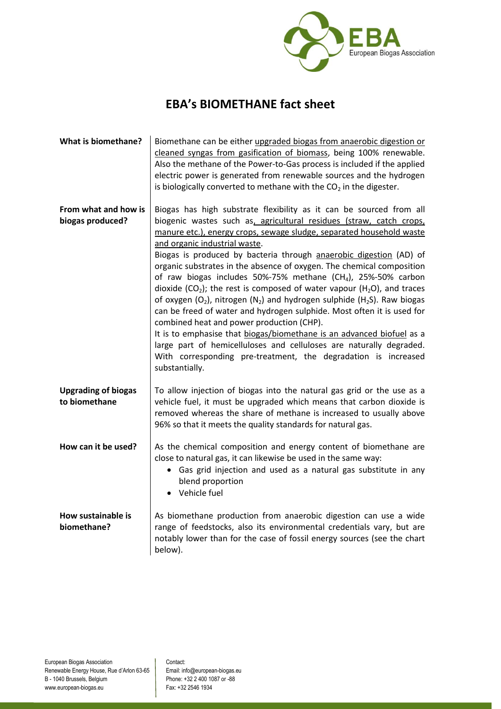

## **EBA's BIOMETHANE fact sheet**

| What is biomethane?                         | Biomethane can be either upgraded biogas from anaerobic digestion or<br>cleaned syngas from gasification of biomass, being 100% renewable.<br>Also the methane of the Power-to-Gas process is included if the applied<br>electric power is generated from renewable sources and the hydrogen<br>is biologically converted to methane with the $CO2$ in the digester.                                                                                                                                                                                                                                                                                                                                                                                                                                                                                                                                                                                                                                                              |
|---------------------------------------------|-----------------------------------------------------------------------------------------------------------------------------------------------------------------------------------------------------------------------------------------------------------------------------------------------------------------------------------------------------------------------------------------------------------------------------------------------------------------------------------------------------------------------------------------------------------------------------------------------------------------------------------------------------------------------------------------------------------------------------------------------------------------------------------------------------------------------------------------------------------------------------------------------------------------------------------------------------------------------------------------------------------------------------------|
| From what and how is<br>biogas produced?    | Biogas has high substrate flexibility as it can be sourced from all<br>biogenic wastes such as, agricultural residues (straw, catch crops,<br>manure etc.), energy crops, sewage sludge, separated household waste<br>and organic industrial waste.<br>Biogas is produced by bacteria through anaerobic digestion (AD) of<br>organic substrates in the absence of oxygen. The chemical composition<br>of raw biogas includes 50%-75% methane (CH <sub>4</sub> ), 25%-50% carbon<br>dioxide (CO <sub>2</sub> ); the rest is composed of water vapour (H <sub>2</sub> O), and traces<br>of oxygen $(O_2)$ , nitrogen $(N_2)$ and hydrogen sulphide $(H_2S)$ . Raw biogas<br>can be freed of water and hydrogen sulphide. Most often it is used for<br>combined heat and power production (CHP).<br>It is to emphasise that biogas/biomethane is an advanced biofuel as a<br>large part of hemicelluloses and celluloses are naturally degraded.<br>With corresponding pre-treatment, the degradation is increased<br>substantially. |
| <b>Upgrading of biogas</b><br>to biomethane | To allow injection of biogas into the natural gas grid or the use as a<br>vehicle fuel, it must be upgraded which means that carbon dioxide is<br>removed whereas the share of methane is increased to usually above<br>96% so that it meets the quality standards for natural gas.                                                                                                                                                                                                                                                                                                                                                                                                                                                                                                                                                                                                                                                                                                                                               |
| How can it be used?                         | As the chemical composition and energy content of biomethane are<br>close to natural gas, it can likewise be used in the same way:<br>• Gas grid injection and used as a natural gas substitute in any<br>blend proportion<br>• Vehicle fuel                                                                                                                                                                                                                                                                                                                                                                                                                                                                                                                                                                                                                                                                                                                                                                                      |
| How sustainable is<br>biomethane?           | As biomethane production from anaerobic digestion can use a wide<br>range of feedstocks, also its environmental credentials vary, but are<br>notably lower than for the case of fossil energy sources (see the chart<br>below).                                                                                                                                                                                                                                                                                                                                                                                                                                                                                                                                                                                                                                                                                                                                                                                                   |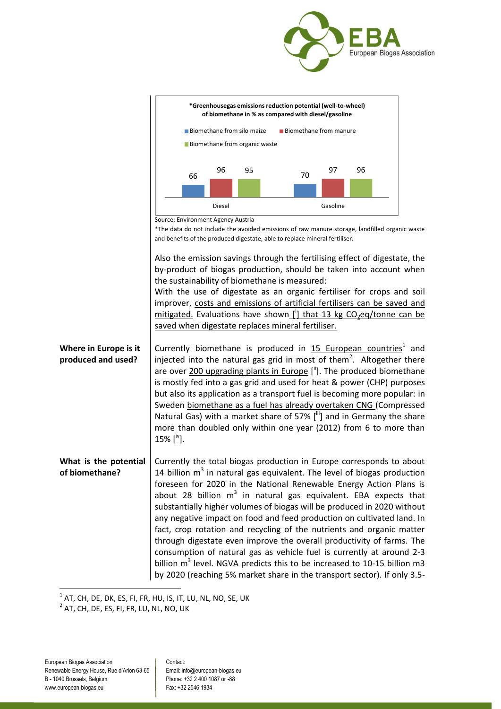



 $^{\rm 1}$  AT, CH, DE, DK, ES, FI, FR, HU, IS, IT, LU, NL, NO, SE, UK

 $^2$  AT, CH, DE, ES, FI, FR, LU, NL, NO, UK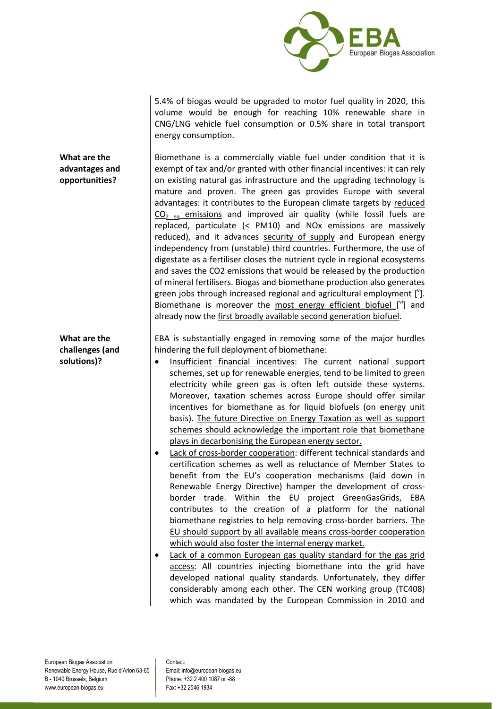

5.4% of biogas would be upgraded to motor fuel quality in 2020, this volume would be enough for reaching 10% renewable share in CNG/LNG vehicle fuel consumption or 0.5% share in total transport energy consumption.

**What are the advantages and opportunities?** Biomethane is a commercially viable fuel under condition that it is exempt of tax and/or granted with other financial incentives: it can rely on existing natural gas infrastructure and the upgrading technology is mature and proven. The green gas provides Europe with several advantages: it contributes to the European climate targets by reduced  $CO<sub>2</sub>$  eq emissions and improved air quality (while fossil fuels are replaced, particulate (< PM10) and NOx emissions are massively reduced), and it advances security of supply and European energy independency from (unstable) third countries. Furthermore, the use of digestate as a fertiliser closes the nutrient cycle in regional ecosystems and saves the CO2 emissions that would be released by the production of mineral fertilisers. Biogas and biomethane production also generates green jobs through increased regional and agricultural employment  $[{}^{v}$ ]. Biomethane is moreover the  $most$  energy efficient biofuel  $[$ <sup>vi</sup>] and already now the first broadly available second generation biofuel.

**What are the challenges (and solutions)?**

EBA is substantially engaged in removing some of the major hurdles hindering the full deployment of biomethane:

- Insufficient financial incentives: The current national support schemes, set up for renewable energies, tend to be limited to green electricity while green gas is often left outside these systems. Moreover, taxation schemes across Europe should offer similar incentives for biomethane as for liquid biofuels (on energy unit basis). The future Directive on Energy Taxation as well as support schemes should acknowledge the important role that biomethane plays in decarbonising the European energy sector.
- Lack of cross-border cooperation: different technical standards and certification schemes as well as reluctance of Member States to benefit from the EU's cooperation mechanisms (laid down in Renewable Energy Directive) hamper the development of crossborder trade. Within the EU project GreenGasGrids, EBA contributes to the creation of a platform for the national biomethane registries to help removing cross-border barriers. The EU should support by all available means cross-border cooperation which would also foster the internal energy market.
- Lack of a common European gas quality standard for the gas grid access: All countries injecting biomethane into the grid have developed national quality standards. Unfortunately, they differ considerably among each other. The CEN working group (TC408) which was mandated by the European Commission in 2010 and